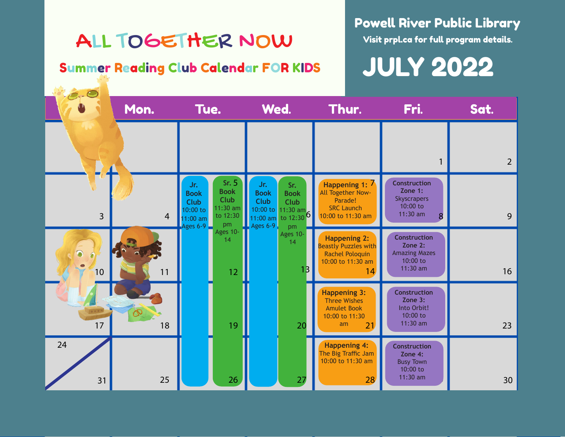## ALL TOGETHER NOW

### Summer Reading Club Calendar FOR KIDS

### Powell River Public Library

Visit prpl.ca for full program details.

JULY 2022

|                | Mon.           | Tue.                                                                                                                                        | Wed.                                                                                                                                                   | Thur.                                                                                            | Fri.                                                                             | Sat.           |  |  |
|----------------|----------------|---------------------------------------------------------------------------------------------------------------------------------------------|--------------------------------------------------------------------------------------------------------------------------------------------------------|--------------------------------------------------------------------------------------------------|----------------------------------------------------------------------------------|----------------|--|--|
|                |                |                                                                                                                                             |                                                                                                                                                        |                                                                                                  |                                                                                  | $\overline{2}$ |  |  |
| $\overline{3}$ | $\overline{4}$ | Sr. $5$<br>Jr.<br><b>Book</b><br><b>Book</b><br>Club<br><b>Club</b><br>$11:30$ am<br>10:00 to<br>to 12:30<br>$11:00$ am<br>Ages $6-9$<br>pm | Jr.<br>Sr.<br><b>Book</b><br><b>Book</b><br><b>Club</b><br><b>Club</b><br>10:00 to 11:30 am<br>to $12:30$ <sup>6</sup><br>$11:00$ am<br>Ages 6-9<br>pm | Happening 1: 7<br>All Together Now-<br>Parade!<br><b>SRC Launch</b><br>10:00 to 11:30 am         | <b>Construction</b><br>Zone 1:<br><b>Skyscrapers</b><br>$10:00$ to<br>11:30 am   | 9              |  |  |
| 10             | 11             | Ages 10-<br>14<br>$12 \overline{ }$                                                                                                         | Ages 10-<br>14<br>1 <sub>B</sub>                                                                                                                       | <b>Happening 2:</b><br><b>Beastly Puzzles with</b><br>Rachel Poloquin<br>10:00 to 11:30 am<br>14 | <b>Construction</b><br>Zone 2:<br><b>Amazing Mazes</b><br>10:00 to<br>$11:30$ am | 16             |  |  |
| 17             | 18             | 19                                                                                                                                          | 20                                                                                                                                                     | <b>Happening 3:</b><br>Three Wishes<br><b>Amulet Book</b><br>10:00 to 11:30<br>am<br>21          | <b>Construction</b><br>Zone 3:<br>Into Orbit!<br>10:00 to<br>$11:30$ am          | 23             |  |  |
| 24<br>31       | 25             | 26                                                                                                                                          | 27                                                                                                                                                     | <b>Happening 4:</b><br>The Big Traffic Jam<br>10:00 to 11:30 am<br>28                            | <b>Construction</b><br>Zone 4:<br><b>Busy Town</b><br>$10:00$ to<br>$11:30$ am   | 30             |  |  |